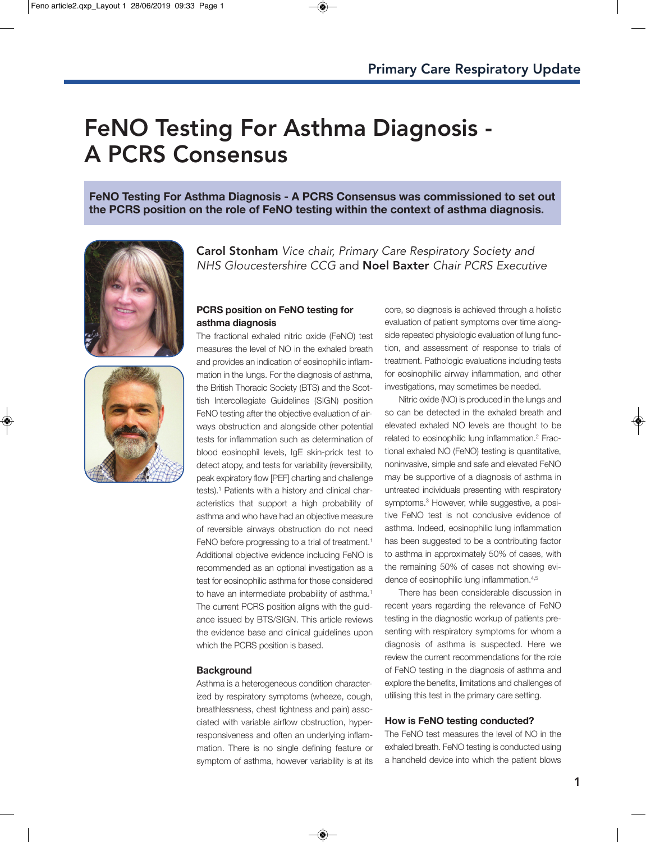# FeNO Testing For Asthma Diagnosis - A PCRS Consensus

**FeNO Testing For Asthma Diagnosis - A PCRS Consensus was commissioned to set out the PCRS position on the role of FeNO testing within the context of asthma diagnosis.** 





Carol Stonham Vice chair, Primary Care Respiratory Society and NHS Gloucestershire CCG and Noel Baxter Chair PCRS Executive

# **PCRS position on FeNO testing for asthma diagnosis**

The fractional exhaled nitric oxide (FeNO) test measures the level of NO in the exhaled breath and provides an indication of eosinophilic inflammation in the lungs. For the diagnosis of asthma, the British Thoracic Society (BTS) and the Scottish Intercollegiate Guidelines (SIGN) position FeNO testing after the objective evaluation of airways obstruction and alongside other potential tests for inflammation such as determination of blood eosinophil levels, IgE skin-prick test to detect atopy, and tests for variability (reversibility, peak expiratory flow [PEF] charting and challenge tests).<sup>1</sup> Patients with a history and clinical characteristics that support a high probability of asthma and who have had an objective measure of reversible airways obstruction do not need FeNO before progressing to a trial of treatment.<sup>1</sup> Additional objective evidence including FeNO is recommended as an optional investigation as a test for eosinophilic asthma for those considered to have an intermediate probability of asthma.<sup>1</sup> The current PCRS position aligns with the guidance issued by BTS/SIGN. This article reviews the evidence base and clinical guidelines upon which the PCRS position is based.

# **Background**

Asthma is a heterogeneous condition characterized by respiratory symptoms (wheeze, cough, breathlessness, chest tightness and pain) associated with variable airflow obstruction, hyperresponsiveness and often an underlying inflammation. There is no single defining feature or symptom of asthma, however variability is at its core, so diagnosis is achieved through a holistic evaluation of patient symptoms over time alongside repeated physiologic evaluation of lung function, and assessment of response to trials of treatment. Pathologic evaluations including tests for eosinophilic airway inflammation, and other investigations, may sometimes be needed.

Nitric oxide (NO) is produced in the lungs and so can be detected in the exhaled breath and elevated exhaled NO levels are thought to be related to eosinophilic lung inflammation.<sup>2</sup> Fractional exhaled NO (FeNO) testing is quantitative, noninvasive, simple and safe and elevated FeNO may be supportive of a diagnosis of asthma in untreated individuals presenting with respiratory symptoms.3 However, while suggestive, a positive FeNO test is not conclusive evidence of asthma. Indeed, eosinophilic lung inflammation has been suggested to be a contributing factor to asthma in approximately 50% of cases, with the remaining 50% of cases not showing evidence of eosinophilic lung inflammation.4,5

There has been considerable discussion in recent years regarding the relevance of FeNO testing in the diagnostic workup of patients presenting with respiratory symptoms for whom a diagnosis of asthma is suspected. Here we review the current recommendations for the role of FeNO testing in the diagnosis of asthma and explore the benefits, limitations and challenges of utilising this test in the primary care setting.

# **How is FeNO testing conducted?**

The FeNO test measures the level of NO in the exhaled breath. FeNO testing is conducted using a handheld device into which the patient blows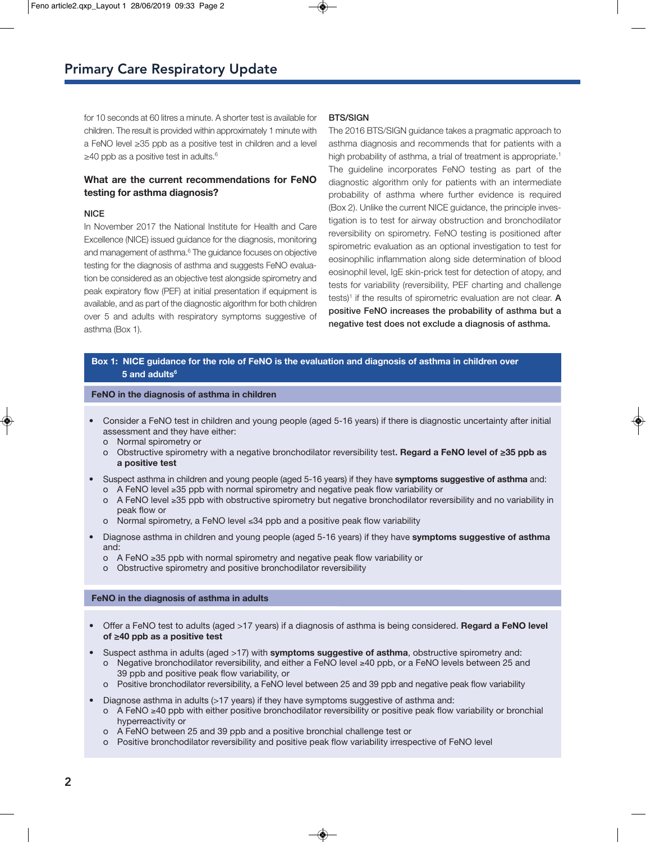for 10 seconds at 60 litres a minute. A shorter test is available for children. The result is provided within approximately 1 minute with a FeNO level ≥35 ppb as a positive test in children and a level  $\geq$ 40 ppb as a positive test in adults.<sup>6</sup>

# **What are the current recommendations for FeNO testing for asthma diagnosis?**

## **NICE**

In November 2017 the National Institute for Health and Care Excellence (NICE) issued guidance for the diagnosis, monitoring and management of asthma.<sup>6</sup> The guidance focuses on objective testing for the diagnosis of asthma and suggests FeNO evaluation be considered as an objective test alongside spirometry and peak expiratory flow (PEF) at initial presentation if equipment is available, and as part of the diagnostic algorithm for both children over 5 and adults with respiratory symptoms suggestive of asthma (Box 1).

# **BTS/SIGN**

The 2016 BTS/SIGN guidance takes a pragmatic approach to asthma diagnosis and recommends that for patients with a high probability of asthma, a trial of treatment is appropriate.<sup>1</sup> The guideline incorporates FeNO testing as part of the diagnostic algorithm only for patients with an intermediate probability of asthma where further evidence is required (Box 2). Unlike the current NICE guidance, the principle investigation is to test for airway obstruction and bronchodilator reversibility on spirometry. FeNO testing is positioned after spirometric evaluation as an optional investigation to test for eosinophilic inflammation along side determination of blood eosinophil level, IgE skin-prick test for detection of atopy, and tests for variability (reversibility, PEF charting and challenge tests)1 if the results of spirometric evaluation are not clear. **A positive FeNO increases the probability of asthma but a negative test does not exclude a diagnosis of asthma.**

# **Box 1: NICE guidance for the role of FeNO is the evaluation and diagnosis of asthma in children over 5 and adults6**

### **FeNO in the diagnosis of asthma in children**

- Consider a FeNO test in children and young people (aged 5-16 years) if there is diagnostic uncertainty after initial assessment and they have either:
	- o Normal spirometry or
	- o Obstructive spirometry with a negative bronchodilator reversibility test**. Regard a FeNO level of ≥35 ppb as a positive test**
- Suspect asthma in children and young people (aged 5-16 years) if they have **symptoms suggestive of asthma** and:
	- o A FeNO level ≥35 ppb with normal spirometry and negative peak flow variability or
	- o A FeNO level ≥35 ppb with obstructive spirometry but negative bronchodilator reversibility and no variability in peak flow or
	- o Normal spirometry, a FeNO level ≤34 ppb and a positive peak flow variability
- Diagnose asthma in children and young people (aged 5-16 years) if they have **symptoms suggestive of asthma** and:
	- o A FeNO ≥35 ppb with normal spirometry and negative peak flow variability or
	- o Obstructive spirometry and positive bronchodilator reversibility

### **FeNO in the diagnosis of asthma in adults**

- Offer a FeNO test to adults (aged >17 years) if a diagnosis of asthma is being considered. **Regard a FeNO level of ≥40 ppb as a positive test**
- Suspect asthma in adults (aged >17) with **symptoms suggestive of asthma**, obstructive spirometry and:
	- o Negative bronchodilator reversibility, and either a FeNO level ≥40 ppb, or a FeNO levels between 25 and 39 ppb and positive peak flow variability, or
	- o Positive bronchodilator reversibility, a FeNO level between 25 and 39 ppb and negative peak flow variability
- Diagnose asthma in adults (>17 years) if they have symptoms suggestive of asthma and:
	- o A FeNO ≥40 ppb with either positive bronchodilator reversibility or positive peak flow variability or bronchial hyperreactivity or
	- o A FeNO between 25 and 39 ppb and a positive bronchial challenge test or
	- o Positive bronchodilator reversibility and positive peak flow variability irrespective of FeNO level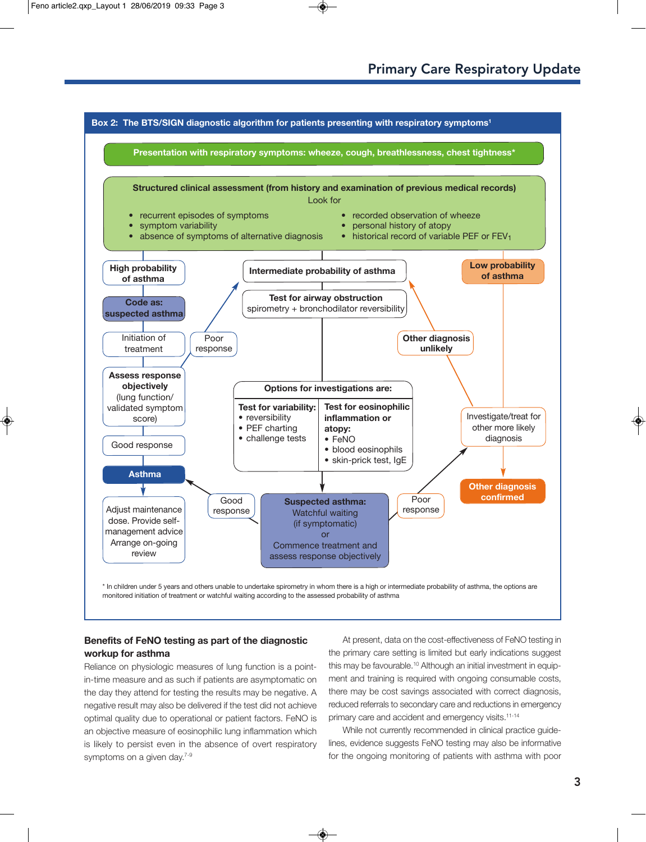

# **Benefits of FeNO testing as part of the diagnostic workup for asthma**

Reliance on physiologic measures of lung function is a pointin-time measure and as such if patients are asymptomatic on the day they attend for testing the results may be negative. A negative result may also be delivered if the test did not achieve optimal quality due to operational or patient factors. FeNO is an objective measure of eosinophilic lung inflammation which is likely to persist even in the absence of overt respiratory symptoms on a given day.<sup>7-9</sup>

At present, data on the cost-effectiveness of FeNO testing in the primary care setting is limited but early indications suggest this may be favourable.<sup>10</sup> Although an initial investment in equipment and training is required with ongoing consumable costs, there may be cost savings associated with correct diagnosis, reduced referrals to secondary care and reductions in emergency primary care and accident and emergency visits.<sup>11-14</sup>

While not currently recommended in clinical practice quidelines, evidence suggests FeNO testing may also be informative for the ongoing monitoring of patients with asthma with poor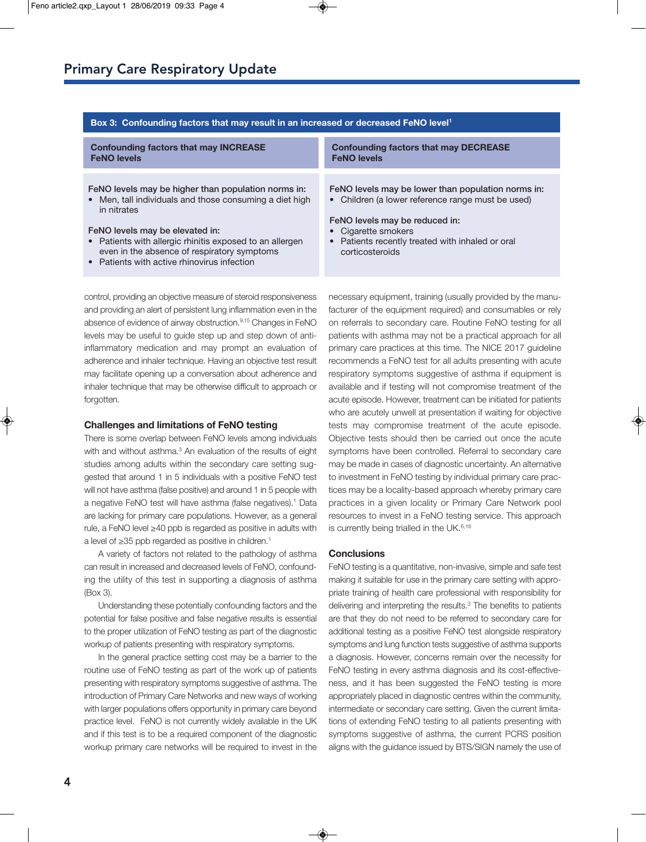| <b>Confounding factors that may INCREASE</b><br><b>FeNO levels</b>                                                                                                                                                                                                                                                         | <b>Confounding factors that may DECREASE</b><br><b>FeNO levels</b>                                                                                                                                                                      |
|----------------------------------------------------------------------------------------------------------------------------------------------------------------------------------------------------------------------------------------------------------------------------------------------------------------------------|-----------------------------------------------------------------------------------------------------------------------------------------------------------------------------------------------------------------------------------------|
| FeNO levels may be higher than population norms in:<br>• Men, tall individuals and those consuming a diet high<br>in nitrates<br>FeNO levels may be elevated in:<br>• Patients with allergic rhinitis exposed to an allergen<br>even in the absence of respiratory symptoms<br>• Patients with active rhinovirus infection | FeNO levels may be lower than population norms in:<br>• Children (a lower reference range must be used)<br>FeNO levels may be reduced in:<br>• Cigarette smokers<br>• Patients recently treated with inhaled or oral<br>corticosteroids |
|                                                                                                                                                                                                                                                                                                                            |                                                                                                                                                                                                                                         |

# **Box 3: Confounding factors that may result in an increased or decreased FeNO level1**

control, providing an objective measure of steroid responsiveness and providing an alert of persistent lung inflammation even in the absence of evidence of airway obstruction.<sup>9,15</sup> Changes in FeNO levels may be useful to guide step up and step down of antiinflammatory medication and may prompt an evaluation of adherence and inhaler technique. Having an objective test result may facilitate opening up a conversation about adherence and inhaler technique that may be otherwise difficult to approach or forgotten.

#### **Challenges and limitations of FeNO testing**

There is some overlap between FeNO levels among individuals with and without asthma.<sup>3</sup> An evaluation of the results of eight studies among adults within the secondary care setting suggested that around 1 in 5 individuals with a positive FeNO test will not have asthma (false positive) and around 1 in 5 people with a negative FeNO test will have asthma (false negatives).<sup>1</sup> Data are lacking for primary care populations. However, as a general rule, a FeNO level ≥40 ppb is regarded as positive in adults with a level of ≥35 ppb regarded as positive in children.1

A variety of factors not related to the pathology of asthma can result in increased and decreased levels of FeNO, confounding the utility of this test in supporting a diagnosis of asthma (Box 3).

Understanding these potentially confounding factors and the potential for false positive and false negative results is essential to the proper utilization of FeNO testing as part of the diagnostic workup of patients presenting with respiratory symptoms.

In the general practice setting cost may be a barrier to the routine use of FeNO testing as part of the work up of patients presenting with respiratory symptoms suggestive of asthma. The introduction of Primary Care Networks and new ways of working with larger populations offers opportunity in primary care beyond practice level. FeNO is not currently widely available in the UK and if this test is to be a required component of the diagnostic workup primary care networks will be required to invest in the necessary equipment, training (usually provided by the manufacturer of the equipment required) and consumables or rely on referrals to secondary care. Routine FeNO testing for all patients with asthma may not be a practical approach for all primary care practices at this time. The NICE 2017 guideline recommends a FeNO test for all adults presenting with acute respiratory symptoms suggestive of asthma if equipment is available and if testing will not compromise treatment of the acute episode. However, treatment can be initiated for patients who are acutely unwell at presentation if waiting for objective tests may compromise treatment of the acute episode. Objective tests should then be carried out once the acute symptoms have been controlled. Referral to secondary care may be made in cases of diagnostic uncertainty. An alternative to investment in FeNO testing by individual primary care practices may be a locality-based approach whereby primary care practices in a given locality or Primary Care Network pool resources to invest in a FeNO testing service. This approach is currently being trialled in the UK.<sup>6,16</sup>

### **Conclusions**

FeNO testing is a quantitative, non-invasive, simple and safe test making it suitable for use in the primary care setting with appropriate training of health care professional with responsibility for delivering and interpreting the results.<sup>3</sup> The benefits to patients are that they do not need to be referred to secondary care for additional testing as a positive FeNO test alongside respiratory symptoms and lung function tests suggestive of asthma supports a diagnosis. However, concerns remain over the necessity for FeNO testing in every asthma diagnosis and its cost-effectiveness, and it has been suggested the FeNO testing is more appropriately placed in diagnostic centres within the community, intermediate or secondary care setting. Given the current limitations of extending FeNO testing to all patients presenting with symptoms suggestive of asthma, the current PCRS position aligns with the guidance issued by BTS/SIGN namely the use of